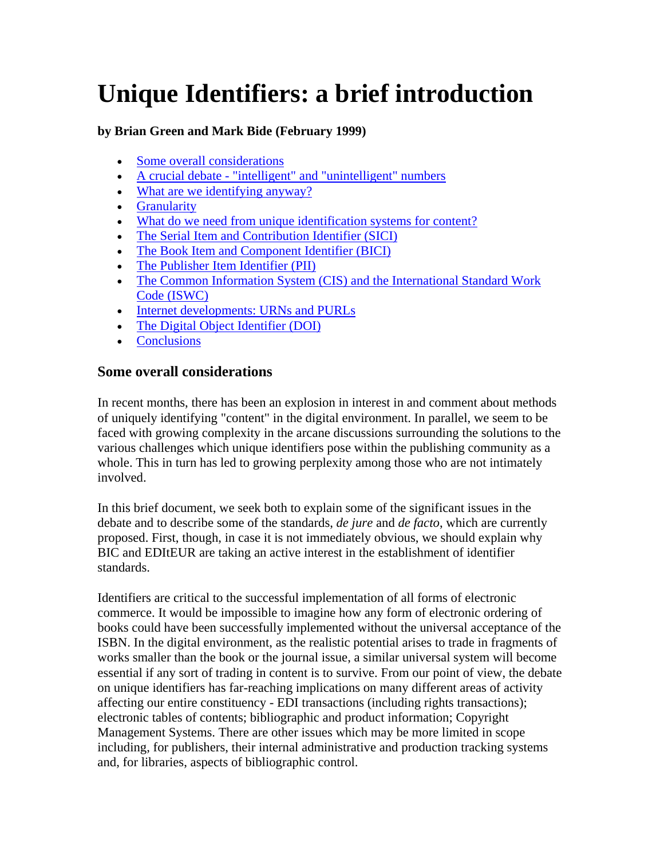# <span id="page-0-0"></span>**Unique Identifiers: a brief introduction**

#### **by Brian Green and Mark Bide (February 1999)**

- Some overall considerations
- [A crucial debate "intelligent" and "unintelligent" numbers](#page-1-0)
- What are we identifying anyway?
- [Granularity](#page-2-0)
- [What do we need from unique identification systems for content?](#page-3-0)
- The Serial Item and Contribution Identifier (SICI)
- [The Book Item and Component Identifier \(BICI\)](#page-5-0)
- [The Publisher Item Identifier \(PII\)](#page-5-0)
- The Common Information System (CIS) and the International Standard Work [Code \(ISWC\)](#page-6-0)
- [Internet developments: URNs and PURLs](#page-7-0)
- The Digital Object Identifier (DOI)
- [Conclusions](#page-9-0)

#### **Some overall considerations**

In recent months, there has been an explosion in interest in and comment about methods of uniquely identifying "content" in the digital environment. In parallel, we seem to be faced with growing complexity in the arcane discussions surrounding the solutions to the various challenges which unique identifiers pose within the publishing community as a whole. This in turn has led to growing perplexity among those who are not intimately involved.

In this brief document, we seek both to explain some of the significant issues in the debate and to describe some of the standards, *de jure* and *de facto*, which are currently proposed. First, though, in case it is not immediately obvious, we should explain why BIC and EDItEUR are taking an active interest in the establishment of identifier standards.

Identifiers are critical to the successful implementation of all forms of electronic commerce. It would be impossible to imagine how any form of electronic ordering of books could have been successfully implemented without the universal acceptance of the ISBN. In the digital environment, as the realistic potential arises to trade in fragments of works smaller than the book or the journal issue, a similar universal system will become essential if any sort of trading in content is to survive. From our point of view, the debate on unique identifiers has far-reaching implications on many different areas of activity affecting our entire constituency - EDI transactions (including rights transactions); electronic tables of contents; bibliographic and product information; Copyright Management Systems. There are other issues which may be more limited in scope including, for publishers, their internal administrative and production tracking systems and, for libraries, aspects of bibliographic control.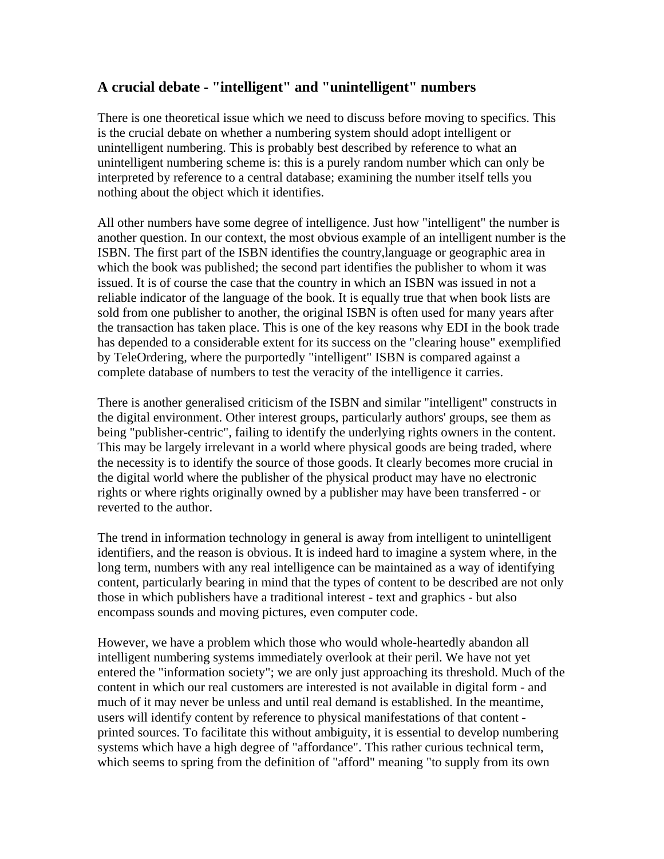#### <span id="page-1-0"></span>**A crucial debate - "intelligent" and "unintelligent" numbers**

There is one theoretical issue which we need to discuss before moving to specifics. This is the crucial debate on whether a numbering system should adopt intelligent or unintelligent numbering. This is probably best described by reference to what an unintelligent numbering scheme is: this is a purely random number which can only be interpreted by reference to a central database; examining the number itself tells you nothing about the object which it identifies.

All other numbers have some degree of intelligence. Just how "intelligent" the number is another question. In our context, the most obvious example of an intelligent number is the ISBN. The first part of the ISBN identifies the country,language or geographic area in which the book was published; the second part identifies the publisher to whom it was issued. It is of course the case that the country in which an ISBN was issued in not a reliable indicator of the language of the book. It is equally true that when book lists are sold from one publisher to another, the original ISBN is often used for many years after the transaction has taken place. This is one of the key reasons why EDI in the book trade has depended to a considerable extent for its success on the "clearing house" exemplified by TeleOrdering, where the purportedly "intelligent" ISBN is compared against a complete database of numbers to test the veracity of the intelligence it carries.

There is another generalised criticism of the ISBN and similar "intelligent" constructs in the digital environment. Other interest groups, particularly authors' groups, see them as being "publisher-centric", failing to identify the underlying rights owners in the content. This may be largely irrelevant in a world where physical goods are being traded, where the necessity is to identify the source of those goods. It clearly becomes more crucial in the digital world where the publisher of the physical product may have no electronic rights or where rights originally owned by a publisher may have been transferred - or reverted to the author.

The trend in information technology in general is away from intelligent to unintelligent identifiers, and the reason is obvious. It is indeed hard to imagine a system where, in the long term, numbers with any real intelligence can be maintained as a way of identifying content, particularly bearing in mind that the types of content to be described are not only those in which publishers have a traditional interest - text and graphics - but also encompass sounds and moving pictures, even computer code.

However, we have a problem which those who would whole-heartedly abandon all intelligent numbering systems immediately overlook at their peril. We have not yet entered the "information society"; we are only just approaching its threshold. Much of the content in which our real customers are interested is not available in digital form - and much of it may never be unless and until real demand is established. In the meantime, users will identify content by reference to physical manifestations of that content printed sources. To facilitate this without ambiguity, it is essential to develop numbering systems which have a high degree of "affordance". This rather curious technical term, which seems to spring from the definition of "afford" meaning "to supply from its own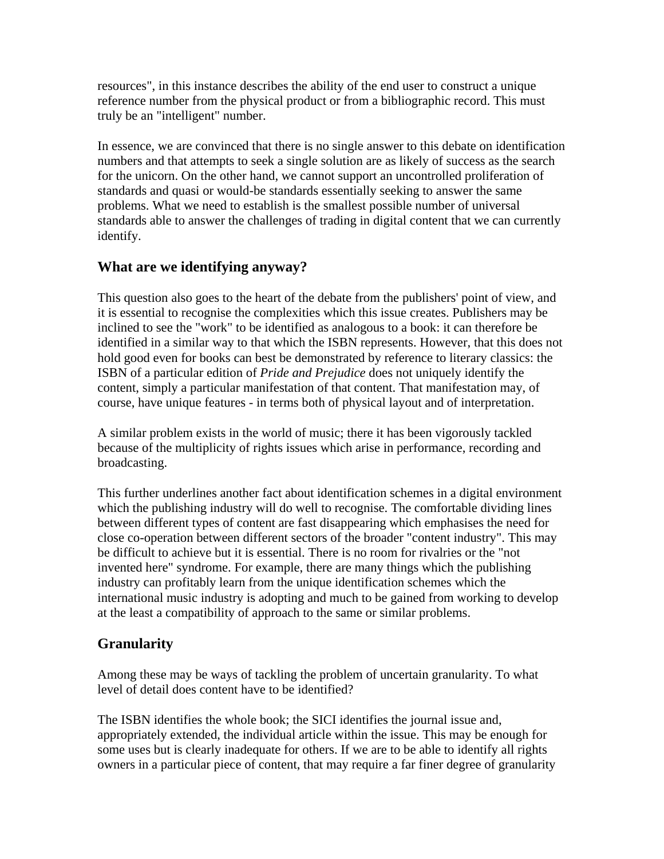<span id="page-2-0"></span>resources", in this instance describes the ability of the end user to construct a unique reference number from the physical product or from a bibliographic record. This must truly be an "intelligent" number.

In essence, we are convinced that there is no single answer to this debate on identification numbers and that attempts to seek a single solution are as likely of success as the search for the unicorn. On the other hand, we cannot support an uncontrolled proliferation of standards and quasi or would-be standards essentially seeking to answer the same problems. What we need to establish is the smallest possible number of universal standards able to answer the challenges of trading in digital content that we can currently identify.

#### **What are we identifying anyway?**

This question also goes to the heart of the debate from the publishers' point of view, and it is essential to recognise the complexities which this issue creates. Publishers may be inclined to see the "work" to be identified as analogous to a book: it can therefore be identified in a similar way to that which the ISBN represents. However, that this does not hold good even for books can best be demonstrated by reference to literary classics: the ISBN of a particular edition of *Pride and Prejudice* does not uniquely identify the content, simply a particular manifestation of that content. That manifestation may, of course, have unique features - in terms both of physical layout and of interpretation.

A similar problem exists in the world of music; there it has been vigorously tackled because of the multiplicity of rights issues which arise in performance, recording and broadcasting.

This further underlines another fact about identification schemes in a digital environment which the publishing industry will do well to recognise. The comfortable dividing lines between different types of content are fast disappearing which emphasises the need for close co-operation between different sectors of the broader "content industry". This may be difficult to achieve but it is essential. There is no room for rivalries or the "not invented here" syndrome. For example, there are many things which the publishing industry can profitably learn from the unique identification schemes which the international music industry is adopting and much to be gained from working to develop at the least a compatibility of approach to the same or similar problems.

#### **Granularity**

Among these may be ways of tackling the problem of uncertain granularity. To what level of detail does content have to be identified?

The ISBN identifies the whole book; the SICI identifies the journal issue and, appropriately extended, the individual article within the issue. This may be enough for some uses but is clearly inadequate for others. If we are to be able to identify all rights owners in a particular piece of content, that may require a far finer degree of granularity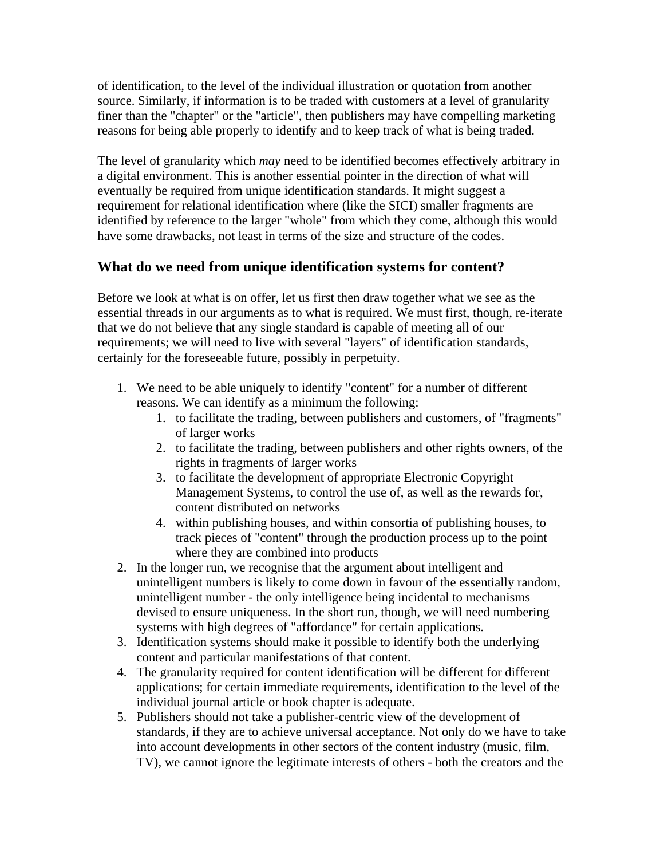<span id="page-3-0"></span>of identification, to the level of the individual illustration or quotation from another source. Similarly, if information is to be traded with customers at a level of granularity finer than the "chapter" or the "article", then publishers may have compelling marketing reasons for being able properly to identify and to keep track of what is being traded.

The level of granularity which *may* need to be identified becomes effectively arbitrary in a digital environment. This is another essential pointer in the direction of what will eventually be required from unique identification standards. It might suggest a requirement for relational identification where (like the SICI) smaller fragments are identified by reference to the larger "whole" from which they come, although this would have some drawbacks, not least in terms of the size and structure of the codes.

#### **What do we need from unique identification systems for content?**

Before we look at what is on offer, let us first then draw together what we see as the essential threads in our arguments as to what is required. We must first, though, re-iterate that we do not believe that any single standard is capable of meeting all of our requirements; we will need to live with several "layers" of identification standards, certainly for the foreseeable future, possibly in perpetuity.

- 1. We need to be able uniquely to identify "content" for a number of different reasons. We can identify as a minimum the following:
	- 1. to facilitate the trading, between publishers and customers, of "fragments" of larger works
	- 2. to facilitate the trading, between publishers and other rights owners, of the rights in fragments of larger works
	- 3. to facilitate the development of appropriate Electronic Copyright Management Systems, to control the use of, as well as the rewards for, content distributed on networks
	- 4. within publishing houses, and within consortia of publishing houses, to track pieces of "content" through the production process up to the point where they are combined into products
- 2. In the longer run, we recognise that the argument about intelligent and unintelligent numbers is likely to come down in favour of the essentially random, unintelligent number - the only intelligence being incidental to mechanisms devised to ensure uniqueness. In the short run, though, we will need numbering systems with high degrees of "affordance" for certain applications.
- 3. Identification systems should make it possible to identify both the underlying content and particular manifestations of that content.
- 4. The granularity required for content identification will be different for different applications; for certain immediate requirements, identification to the level of the individual journal article or book chapter is adequate.
- 5. Publishers should not take a publisher-centric view of the development of standards, if they are to achieve universal acceptance. Not only do we have to take into account developments in other sectors of the content industry (music, film, TV), we cannot ignore the legitimate interests of others - both the creators and the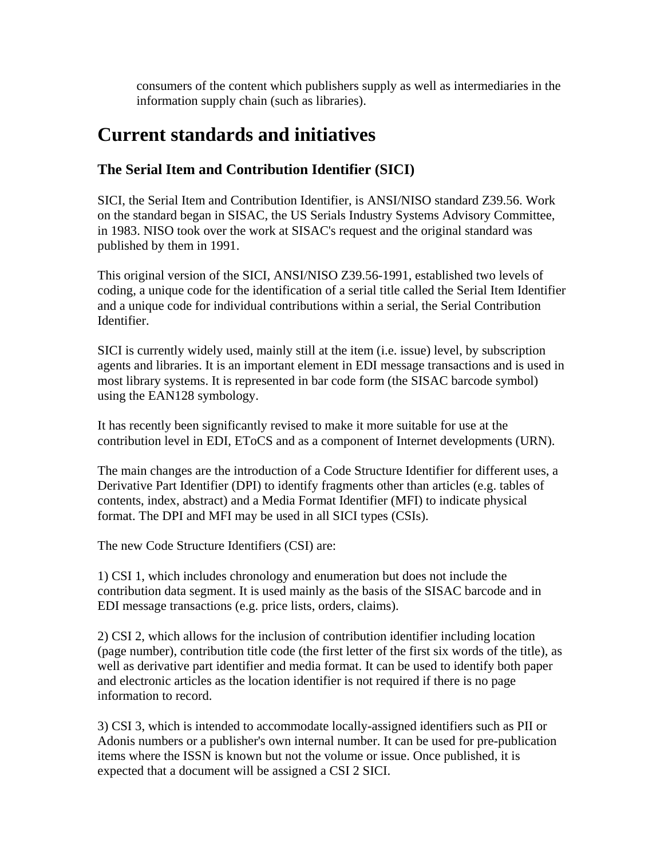<span id="page-4-0"></span>consumers of the content which publishers supply as well as intermediaries in the information supply chain (such as libraries).

### **Current standards and initiatives**

#### **The Serial Item and Contribution Identifier (SICI)**

SICI, the Serial Item and Contribution Identifier, is ANSI/NISO standard Z39.56. Work on the standard began in SISAC, the US Serials Industry Systems Advisory Committee, in 1983. NISO took over the work at SISAC's request and the original standard was published by them in 1991.

This original version of the SICI, ANSI/NISO Z39.56-1991, established two levels of coding, a unique code for the identification of a serial title called the Serial Item Identifier and a unique code for individual contributions within a serial, the Serial Contribution Identifier.

SICI is currently widely used, mainly still at the item (i.e. issue) level, by subscription agents and libraries. It is an important element in EDI message transactions and is used in most library systems. It is represented in bar code form (the SISAC barcode symbol) using the EAN128 symbology.

It has recently been significantly revised to make it more suitable for use at the contribution level in EDI, EToCS and as a component of Internet developments (URN).

The main changes are the introduction of a Code Structure Identifier for different uses, a Derivative Part Identifier (DPI) to identify fragments other than articles (e.g. tables of contents, index, abstract) and a Media Format Identifier (MFI) to indicate physical format. The DPI and MFI may be used in all SICI types (CSIs).

The new Code Structure Identifiers (CSI) are:

1) CSI 1, which includes chronology and enumeration but does not include the contribution data segment. It is used mainly as the basis of the SISAC barcode and in EDI message transactions (e.g. price lists, orders, claims).

2) CSI 2, which allows for the inclusion of contribution identifier including location (page number), contribution title code (the first letter of the first six words of the title), as well as derivative part identifier and media format. It can be used to identify both paper and electronic articles as the location identifier is not required if there is no page information to record.

3) CSI 3, which is intended to accommodate locally-assigned identifiers such as PII or Adonis numbers or a publisher's own internal number. It can be used for pre-publication items where the ISSN is known but not the volume or issue. Once published, it is expected that a document will be assigned a CSI 2 SICI.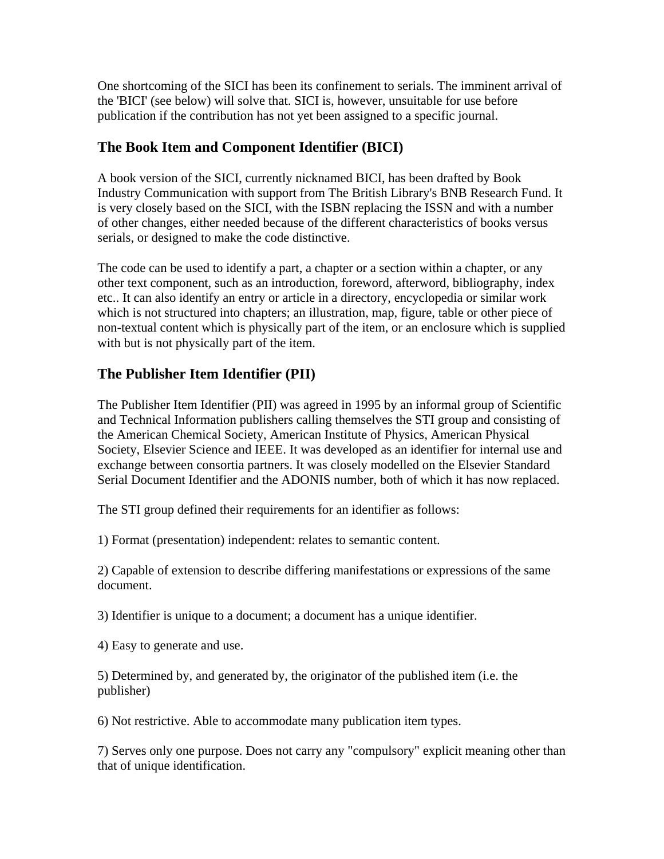<span id="page-5-0"></span>One shortcoming of the SICI has been its confinement to serials. The imminent arrival of the 'BICI' (see below) will solve that. SICI is, however, unsuitable for use before publication if the contribution has not yet been assigned to a specific journal.

#### **The Book Item and Component Identifier (BICI)**

A book version of the SICI, currently nicknamed BICI, has been drafted by Book Industry Communication with support from The British Library's BNB Research Fund. It is very closely based on the SICI, with the ISBN replacing the ISSN and with a number of other changes, either needed because of the different characteristics of books versus serials, or designed to make the code distinctive.

The code can be used to identify a part, a chapter or a section within a chapter, or any other text component, such as an introduction, foreword, afterword, bibliography, index etc.. It can also identify an entry or article in a directory, encyclopedia or similar work which is not structured into chapters; an illustration, map, figure, table or other piece of non-textual content which is physically part of the item, or an enclosure which is supplied with but is not physically part of the item.

#### **The Publisher Item Identifier (PII)**

The Publisher Item Identifier (PII) was agreed in 1995 by an informal group of Scientific and Technical Information publishers calling themselves the STI group and consisting of the American Chemical Society, American Institute of Physics, American Physical Society, Elsevier Science and IEEE. It was developed as an identifier for internal use and exchange between consortia partners. It was closely modelled on the Elsevier Standard Serial Document Identifier and the ADONIS number, both of which it has now replaced.

The STI group defined their requirements for an identifier as follows:

1) Format (presentation) independent: relates to semantic content.

2) Capable of extension to describe differing manifestations or expressions of the same document.

3) Identifier is unique to a document; a document has a unique identifier.

4) Easy to generate and use.

5) Determined by, and generated by, the originator of the published item (i.e. the publisher)

6) Not restrictive. Able to accommodate many publication item types.

7) Serves only one purpose. Does not carry any "compulsory" explicit meaning other than that of unique identification.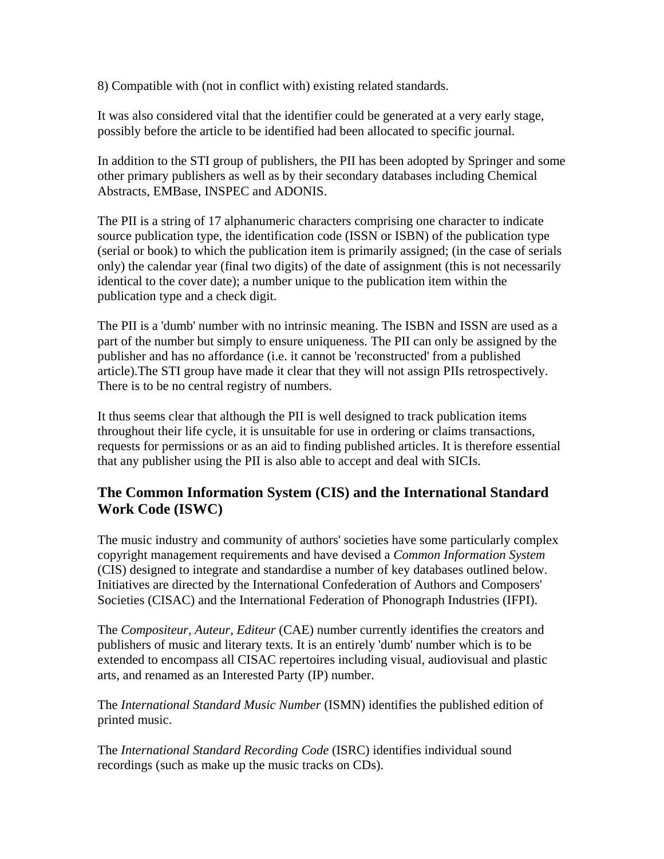<span id="page-6-0"></span>8) Compatible with (not in conflict with) existing related standards.

It was also considered vital that the identifier could be generated at a very early stage, possibly before the article to be identified had been allocated to specific journal.

In addition to the STI group of publishers, the PII has been adopted by Springer and some other primary publishers as well as by their secondary databases including Chemical Abstracts, EMBase, INSPEC and ADONIS.

The PII is a string of 17 alphanumeric characters comprising one character to indicate source publication type, the identification code (ISSN or ISBN) of the publication type (serial or book) to which the publication item is primarily assigned; (in the case of serials only) the calendar year (final two digits) of the date of assignment (this is not necessarily identical to the cover date); a number unique to the publication item within the publication type and a check digit.

The PII is a 'dumb' number with no intrinsic meaning. The ISBN and ISSN are used as a part of the number but simply to ensure uniqueness. The PII can only be assigned by the publisher and has no affordance (i.e. it cannot be 'reconstructed' from a published article).The STI group have made it clear that they will not assign PIIs retrospectively. There is to be no central registry of numbers.

It thus seems clear that although the PII is well designed to track publication items throughout their life cycle, it is unsuitable for use in ordering or claims transactions, requests for permissions or as an aid to finding published articles. It is therefore essential that any publisher using the PII is also able to accept and deal with SICIs.

#### **The Common Information System (CIS) and the International Standard Work Code (ISWC)**

The music industry and community of authors' societies have some particularly complex copyright management requirements and have devised a *Common Information System* (CIS) designed to integrate and standardise a number of key databases outlined below. Initiatives are directed by the International Confederation of Authors and Composers' Societies (CISAC) and the International Federation of Phonograph Industries (IFPI).

The *Compositeur, Auteur, Editeur* (CAE) number currently identifies the creators and publishers of music and literary texts. It is an entirely 'dumb' number which is to be extended to encompass all CISAC repertoires including visual, audiovisual and plastic arts, and renamed as an Interested Party (IP) number.

The *International Standard Music Number* (ISMN) identifies the published edition of printed music.

The *International Standard Recording Code* (ISRC) identifies individual sound recordings (such as make up the music tracks on CDs).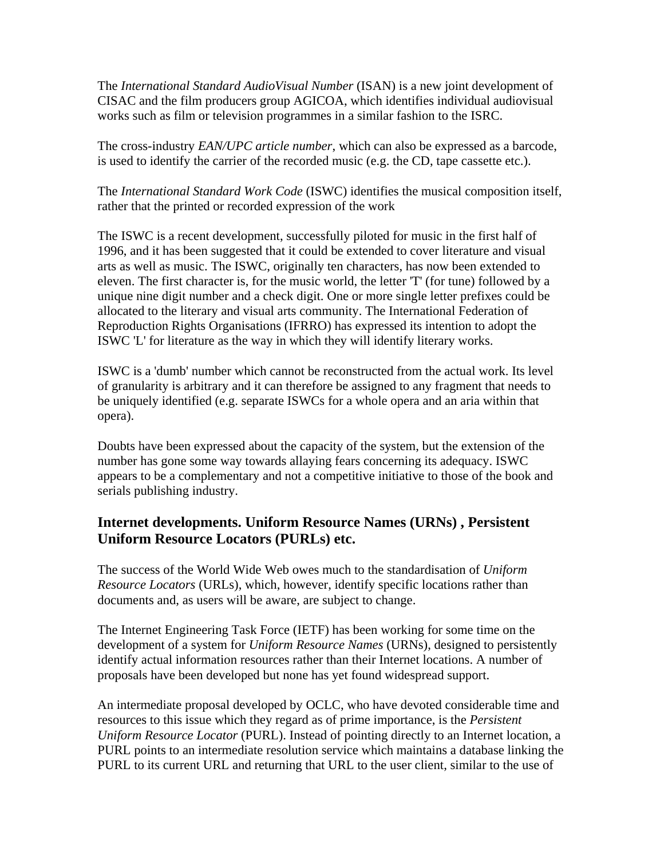<span id="page-7-0"></span>The *International Standard AudioVisual Number* (ISAN) is a new joint development of CISAC and the film producers group AGICOA, which identifies individual audiovisual works such as film or television programmes in a similar fashion to the ISRC.

The cross-industry *EAN/UPC article number*, which can also be expressed as a barcode, is used to identify the carrier of the recorded music (e.g. the CD, tape cassette etc.).

The *International Standard Work Code* (ISWC) identifies the musical composition itself, rather that the printed or recorded expression of the work

The ISWC is a recent development, successfully piloted for music in the first half of 1996, and it has been suggested that it could be extended to cover literature and visual arts as well as music. The ISWC, originally ten characters, has now been extended to eleven. The first character is, for the music world, the letter 'T' (for tune) followed by a unique nine digit number and a check digit. One or more single letter prefixes could be allocated to the literary and visual arts community. The International Federation of Reproduction Rights Organisations (IFRRO) has expressed its intention to adopt the ISWC 'L' for literature as the way in which they will identify literary works.

ISWC is a 'dumb' number which cannot be reconstructed from the actual work. Its level of granularity is arbitrary and it can therefore be assigned to any fragment that needs to be uniquely identified (e.g. separate ISWCs for a whole opera and an aria within that opera).

Doubts have been expressed about the capacity of the system, but the extension of the number has gone some way towards allaying fears concerning its adequacy. ISWC appears to be a complementary and not a competitive initiative to those of the book and serials publishing industry.

#### **Internet developments. Uniform Resource Names (URNs) , Persistent Uniform Resource Locators (PURLs) etc.**

The success of the World Wide Web owes much to the standardisation of *Uniform Resource Locators* (URLs), which, however, identify specific locations rather than documents and, as users will be aware, are subject to change.

The Internet Engineering Task Force (IETF) has been working for some time on the development of a system for *Uniform Resource Names* (URNs), designed to persistently identify actual information resources rather than their Internet locations. A number of proposals have been developed but none has yet found widespread support.

An intermediate proposal developed by OCLC, who have devoted considerable time and resources to this issue which they regard as of prime importance, is the *Persistent Uniform Resource Locator* (PURL). Instead of pointing directly to an Internet location, a PURL points to an intermediate resolution service which maintains a database linking the PURL to its current URL and returning that URL to the user client, similar to the use of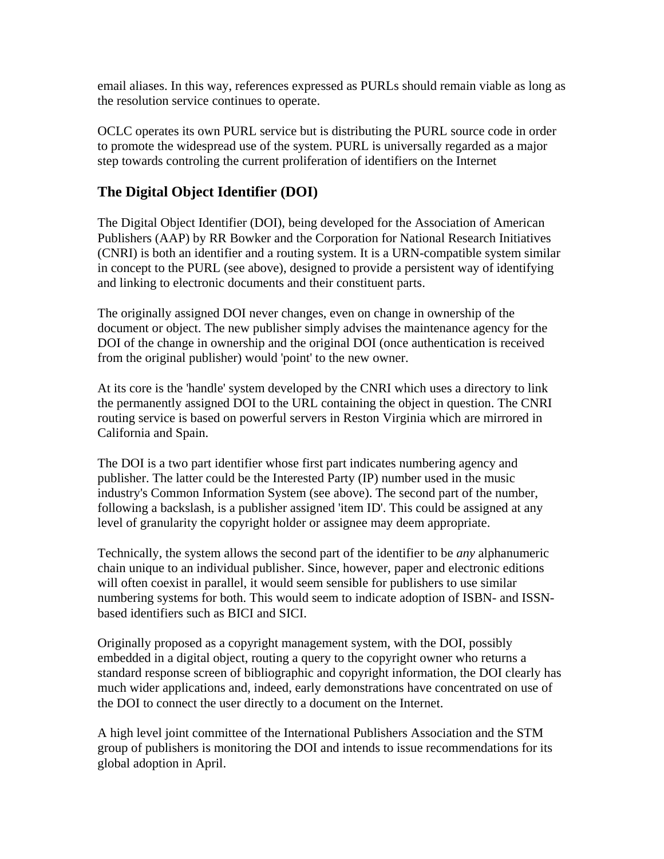<span id="page-8-0"></span>email aliases. In this way, references expressed as PURLs should remain viable as long as the resolution service continues to operate.

OCLC operates its own PURL service but is distributing the PURL source code in order to promote the widespread use of the system. PURL is universally regarded as a major step towards controling the current proliferation of identifiers on the Internet

#### **The Digital Object Identifier (DOI)**

The Digital Object Identifier (DOI), being developed for the Association of American Publishers (AAP) by RR Bowker and the Corporation for National Research Initiatives (CNRI) is both an identifier and a routing system. It is a URN-compatible system similar in concept to the PURL (see above), designed to provide a persistent way of identifying and linking to electronic documents and their constituent parts.

The originally assigned DOI never changes, even on change in ownership of the document or object. The new publisher simply advises the maintenance agency for the DOI of the change in ownership and the original DOI (once authentication is received from the original publisher) would 'point' to the new owner.

At its core is the 'handle' system developed by the CNRI which uses a directory to link the permanently assigned DOI to the URL containing the object in question. The CNRI routing service is based on powerful servers in Reston Virginia which are mirrored in California and Spain.

The DOI is a two part identifier whose first part indicates numbering agency and publisher. The latter could be the Interested Party (IP) number used in the music industry's Common Information System (see above). The second part of the number, following a backslash, is a publisher assigned 'item ID'. This could be assigned at any level of granularity the copyright holder or assignee may deem appropriate.

Technically, the system allows the second part of the identifier to be *any* alphanumeric chain unique to an individual publisher. Since, however, paper and electronic editions will often coexist in parallel, it would seem sensible for publishers to use similar numbering systems for both. This would seem to indicate adoption of ISBN- and ISSNbased identifiers such as BICI and SICI.

Originally proposed as a copyright management system, with the DOI, possibly embedded in a digital object, routing a query to the copyright owner who returns a standard response screen of bibliographic and copyright information, the DOI clearly has much wider applications and, indeed, early demonstrations have concentrated on use of the DOI to connect the user directly to a document on the Internet.

A high level joint committee of the International Publishers Association and the STM group of publishers is monitoring the DOI and intends to issue recommendations for its global adoption in April.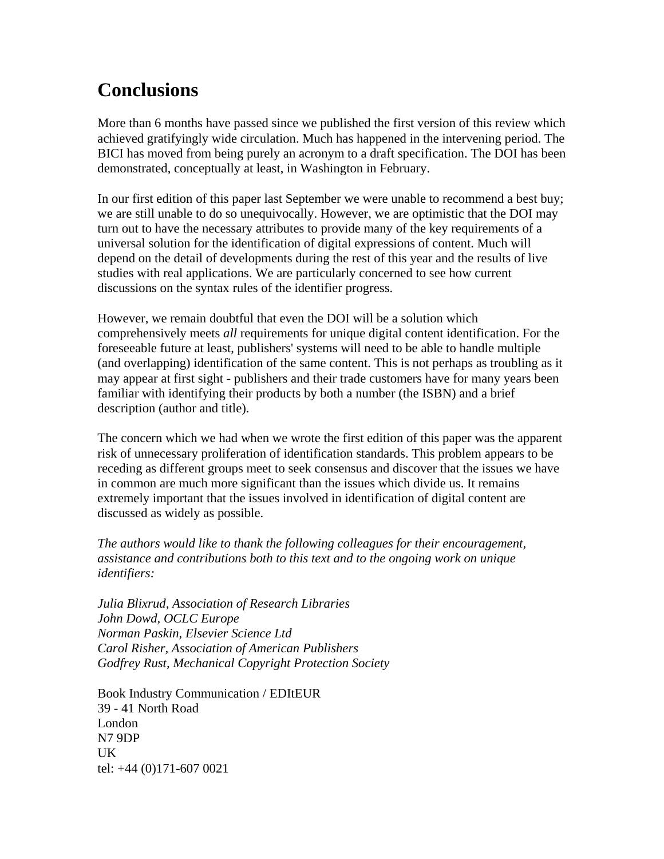## <span id="page-9-0"></span>**Conclusions**

More than 6 months have passed since we published the first version of this review which achieved gratifyingly wide circulation. Much has happened in the intervening period. The BICI has moved from being purely an acronym to a draft specification. The DOI has been demonstrated, conceptually at least, in Washington in February.

In our first edition of this paper last September we were unable to recommend a best buy; we are still unable to do so unequivocally. However, we are optimistic that the DOI may turn out to have the necessary attributes to provide many of the key requirements of a universal solution for the identification of digital expressions of content. Much will depend on the detail of developments during the rest of this year and the results of live studies with real applications. We are particularly concerned to see how current discussions on the syntax rules of the identifier progress.

However, we remain doubtful that even the DOI will be a solution which comprehensively meets *all* requirements for unique digital content identification. For the foreseeable future at least, publishers' systems will need to be able to handle multiple (and overlapping) identification of the same content. This is not perhaps as troubling as it may appear at first sight - publishers and their trade customers have for many years been familiar with identifying their products by both a number (the ISBN) and a brief description (author and title).

The concern which we had when we wrote the first edition of this paper was the apparent risk of unnecessary proliferation of identification standards. This problem appears to be receding as different groups meet to seek consensus and discover that the issues we have in common are much more significant than the issues which divide us. It remains extremely important that the issues involved in identification of digital content are discussed as widely as possible.

*The authors would like to thank the following colleagues for their encouragement, assistance and contributions both to this text and to the ongoing work on unique identifiers:*

*Julia Blixrud, Association of Research Libraries John Dowd, OCLC Europe Norman Paskin, Elsevier Science Ltd Carol Risher, Association of American Publishers Godfrey Rust, Mechanical Copyright Protection Society*

Book Industry Communication / EDItEUR 39 - 41 North Road London N7 9DP UK tel: +44 (0)171-607 0021